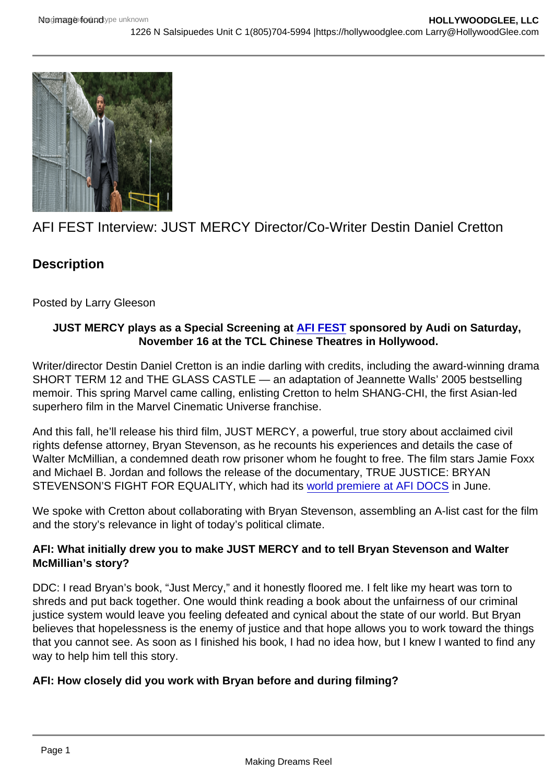## AFI FEST Interview: JUST MERCY Director/Co-Writer Destin Daniel Cretton

**Description** 

Posted by Larry Gleeson

JUST MERCY plays as a Special Screening at [AFI FEST](https://fest.afi.com/) sponsored by Audi on Saturday, November 16 at the TCL Chinese Theatres in Hollywood.

Writer/director Destin Daniel Cretton is an indie darling with credits, including the award-winning drama SHORT TERM 12 and THE GLASS CASTLE — an adaptation of Jeannette Walls' 2005 bestselling memoir. This spring Marvel came calling, enlisting Cretton to helm SHANG-CHI, the first Asian-led superhero film in the Marvel Cinematic Universe franchise.

And this fall, he'll release his third film, JUST MERCY, a powerful, true story about acclaimed civil rights defense attorney, Bryan Stevenson, as he recounts his experiences and details the case of Walter McMillian, a condemned death row prisoner whom he fought to free. The film stars Jamie Foxx and Michael B. Jordan and follows the release of the documentary, TRUE JUSTICE: BRYAN STEVENSON'S FIGHT FOR EQUALITY, which had its [world premiere at AFI DOCS](https://variety.com/2019/film/features/afi-docs-film-festival-stays-topical-with-a-diverse-slate-1203247755/) in June.

We spoke with Cretton about collaborating with Bryan Stevenson, assembling an A-list cast for the film and the story's relevance in light of today's political climate.

AFI: What initially drew you to make JUST MERCY and to tell Bryan Stevenson and Walter McMillian's story?

DDC: I read Bryan's book, "Just Mercy," and it honestly floored me. I felt like my heart was torn to shreds and put back together. One would think reading a book about the unfairness of our criminal justice system would leave you feeling defeated and cynical about the state of our world. But Bryan believes that hopelessness is the enemy of justice and that hope allows you to work toward the things that you cannot see. As soon as I finished his book, I had no idea how, but I knew I wanted to find any way to help him tell this story.

AFI: How closely did you work with Bryan before and during filming?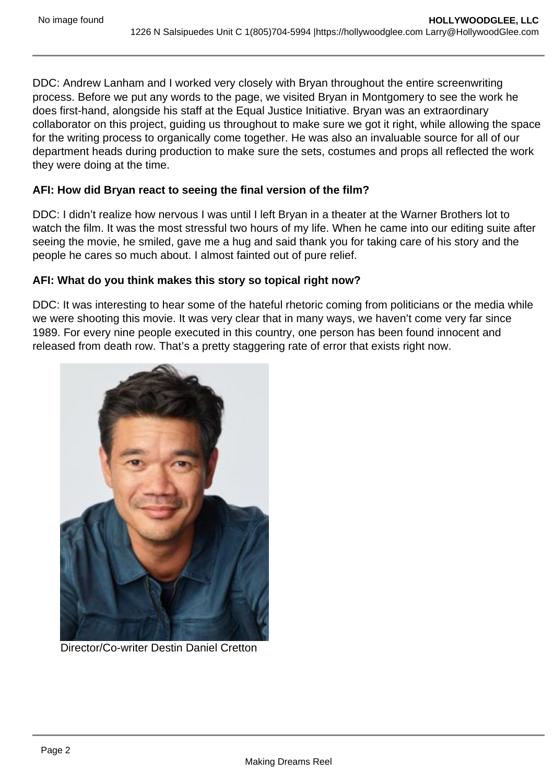DDC: Andrew Lanham and I worked very closely with Bryan throughout the entire screenwriting process. Before we put any words to the page, we visited Bryan in Montgomery to see the work he does first-hand, alongside his staff at the Equal Justice Initiative. Bryan was an extraordinary collaborator on this project, guiding us throughout to make sure we got it right, while allowing the space for the writing process to organically come together. He was also an invaluable source for all of our department heads during production to make sure the sets, costumes and props all reflected the work they were doing at the time.

## **AFI: How did Bryan react to seeing the final version of the film?**

DDC: I didn't realize how nervous I was until I left Bryan in a theater at the Warner Brothers lot to watch the film. It was the most stressful two hours of my life. When he came into our editing suite after seeing the movie, he smiled, gave me a hug and said thank you for taking care of his story and the people he cares so much about. I almost fainted out of pure relief.

## **AFI: What do you think makes this story so topical right now?**

DDC: It was interesting to hear some of the hateful rhetoric coming from politicians or the media while we were shooting this movie. It was very clear that in many ways, we haven't come very far since 1989. For every nine people executed in this country, one person has been found innocent and released from death row. That's a pretty staggering rate of error that exists right now.



Director/Co-writer Destin Daniel Cretton